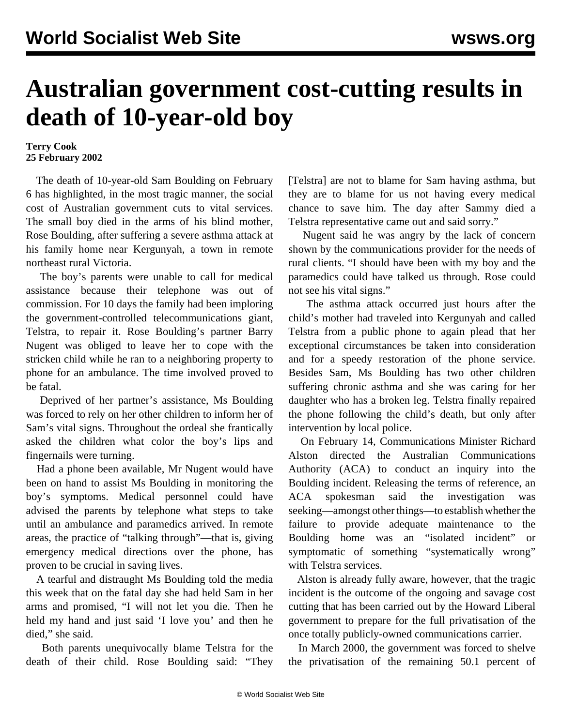## **Australian government cost-cutting results in death of 10-year-old boy**

## **Terry Cook 25 February 2002**

 The death of 10-year-old Sam Boulding on February 6 has highlighted, in the most tragic manner, the social cost of Australian government cuts to vital services. The small boy died in the arms of his blind mother, Rose Boulding, after suffering a severe asthma attack at his family home near Kergunyah, a town in remote northeast rural Victoria.

 The boy's parents were unable to call for medical assistance because their telephone was out of commission. For 10 days the family had been imploring the government-controlled telecommunications giant, Telstra, to repair it. Rose Boulding's partner Barry Nugent was obliged to leave her to cope with the stricken child while he ran to a neighboring property to phone for an ambulance. The time involved proved to be fatal.

 Deprived of her partner's assistance, Ms Boulding was forced to rely on her other children to inform her of Sam's vital signs. Throughout the ordeal she frantically asked the children what color the boy's lips and fingernails were turning.

 Had a phone been available, Mr Nugent would have been on hand to assist Ms Boulding in monitoring the boy's symptoms. Medical personnel could have advised the parents by telephone what steps to take until an ambulance and paramedics arrived. In remote areas, the practice of "talking through"—that is, giving emergency medical directions over the phone, has proven to be crucial in saving lives.

 A tearful and distraught Ms Boulding told the media this week that on the fatal day she had held Sam in her arms and promised, "I will not let you die. Then he held my hand and just said 'I love you' and then he died," she said.

 Both parents unequivocally blame Telstra for the death of their child. Rose Boulding said: "They [Telstra] are not to blame for Sam having asthma, but they are to blame for us not having every medical chance to save him. The day after Sammy died a Telstra representative came out and said sorry."

 Nugent said he was angry by the lack of concern shown by the communications provider for the needs of rural clients. "I should have been with my boy and the paramedics could have talked us through. Rose could not see his vital signs."

 The asthma attack occurred just hours after the child's mother had traveled into Kergunyah and called Telstra from a public phone to again plead that her exceptional circumstances be taken into consideration and for a speedy restoration of the phone service. Besides Sam, Ms Boulding has two other children suffering chronic asthma and she was caring for her daughter who has a broken leg. Telstra finally repaired the phone following the child's death, but only after intervention by local police.

 On February 14, Communications Minister Richard Alston directed the Australian Communications Authority (ACA) to conduct an inquiry into the Boulding incident. Releasing the terms of reference, an ACA spokesman said the investigation was seeking—amongst other things—to establish whether the failure to provide adequate maintenance to the Boulding home was an "isolated incident" or symptomatic of something "systematically wrong" with Telstra services.

 Alston is already fully aware, however, that the tragic incident is the outcome of the ongoing and savage cost cutting that has been carried out by the Howard Liberal government to prepare for the full privatisation of the once totally publicly-owned communications carrier.

 In March 2000, the government was forced to shelve the privatisation of the remaining 50.1 percent of